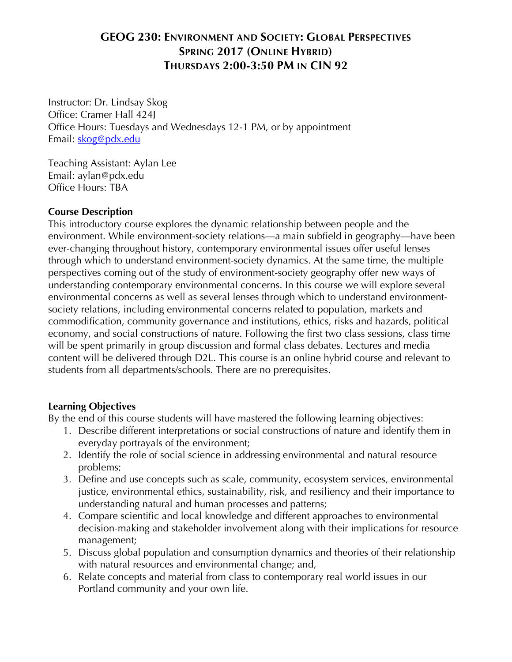# **GEOG 230: ENVIRONMENT AND SOCIETY: GLOBAL PERSPECTIVES SPRING 2017 (ONLINE HYBRID) THURSDAYS 2:00-3:50 PM IN CIN 92**

Instructor: Dr. Lindsay Skog Office: Cramer Hall 424J Office Hours: Tuesdays and Wednesdays 12-1 PM, or by appointment Email: skog@pdx.edu

Teaching Assistant: Aylan Lee Email: aylan@pdx.edu Office Hours: TBA

### **Course Description**

This introductory course explores the dynamic relationship between people and the environment. While environment-society relations—a main subfield in geography—have been ever-changing throughout history, contemporary environmental issues offer useful lenses through which to understand environment-society dynamics. At the same time, the multiple perspectives coming out of the study of environment-society geography offer new ways of understanding contemporary environmental concerns. In this course we will explore several environmental concerns as well as several lenses through which to understand environmentsociety relations, including environmental concerns related to population, markets and commodification, community governance and institutions, ethics, risks and hazards, political economy, and social constructions of nature. Following the first two class sessions, class time will be spent primarily in group discussion and formal class debates. Lectures and media content will be delivered through D2L. This course is an online hybrid course and relevant to students from all departments/schools. There are no prerequisites.

## **Learning Objectives**

By the end of this course students will have mastered the following learning objectives:

- 1. Describe different interpretations or social constructions of nature and identify them in everyday portrayals of the environment;
- 2. Identify the role of social science in addressing environmental and natural resource problems;
- 3. Define and use concepts such as scale, community, ecosystem services, environmental justice, environmental ethics, sustainability, risk, and resiliency and their importance to understanding natural and human processes and patterns;
- 4. Compare scientific and local knowledge and different approaches to environmental decision-making and stakeholder involvement along with their implications for resource management;
- 5. Discuss global population and consumption dynamics and theories of their relationship with natural resources and environmental change; and,
- 6. Relate concepts and material from class to contemporary real world issues in our Portland community and your own life.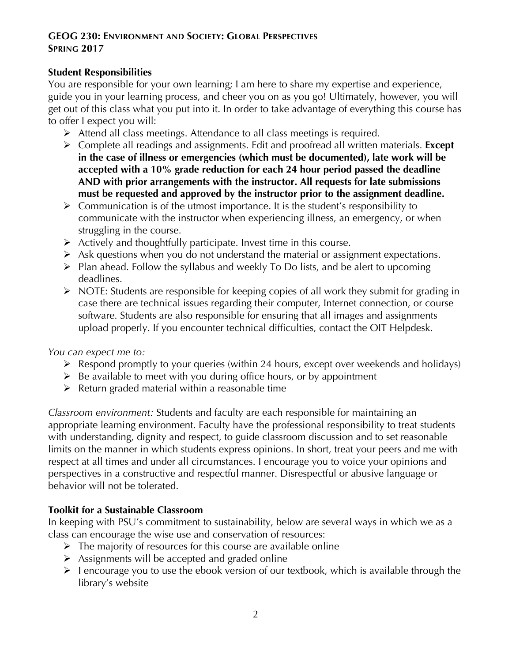## **Student Responsibilities**

You are responsible for your own learning; I am here to share my expertise and experience, guide you in your learning process, and cheer you on as you go! Ultimately, however, you will get out of this class what you put into it. In order to take advantage of everything this course has to offer I expect you will:

- $\triangleright$  Attend all class meetings. Attendance to all class meetings is required.
- Ø Complete all readings and assignments. Edit and proofread all written materials. **Except in the case of illness or emergencies (which must be documented), late work will be accepted with a 10% grade reduction for each 24 hour period passed the deadline AND with prior arrangements with the instructor. All requests for late submissions must be requested and approved by the instructor prior to the assignment deadline.**
- $\triangleright$  Communication is of the utmost importance. It is the student's responsibility to communicate with the instructor when experiencing illness, an emergency, or when struggling in the course.
- $\triangleright$  Actively and thoughtfully participate. Invest time in this course.
- $\triangleright$  Ask questions when you do not understand the material or assignment expectations.
- $\triangleright$  Plan ahead. Follow the syllabus and weekly To Do lists, and be alert to upcoming deadlines.
- $\triangleright$  NOTE: Students are responsible for keeping copies of all work they submit for grading in case there are technical issues regarding their computer, Internet connection, or course software. Students are also responsible for ensuring that all images and assignments upload properly. If you encounter technical difficulties, contact the OIT Helpdesk.

*You can expect me to:*

- $\triangleright$  Respond promptly to your queries (within 24 hours, except over weekends and holidays)
- $\triangleright$  Be available to meet with you during office hours, or by appointment
- $\triangleright$  Return graded material within a reasonable time

*Classroom environment:* Students and faculty are each responsible for maintaining an appropriate learning environment. Faculty have the professional responsibility to treat students with understanding, dignity and respect, to guide classroom discussion and to set reasonable limits on the manner in which students express opinions. In short, treat your peers and me with respect at all times and under all circumstances. I encourage you to voice your opinions and perspectives in a constructive and respectful manner. Disrespectful or abusive language or behavior will not be tolerated.

## **Toolkit for a Sustainable Classroom**

In keeping with PSU's commitment to sustainability, below are several ways in which we as a class can encourage the wise use and conservation of resources:

- $\triangleright$  The majority of resources for this course are available online
- $\triangleright$  Assignments will be accepted and graded online
- $\triangleright$  I encourage you to use the ebook version of our textbook, which is available through the library's website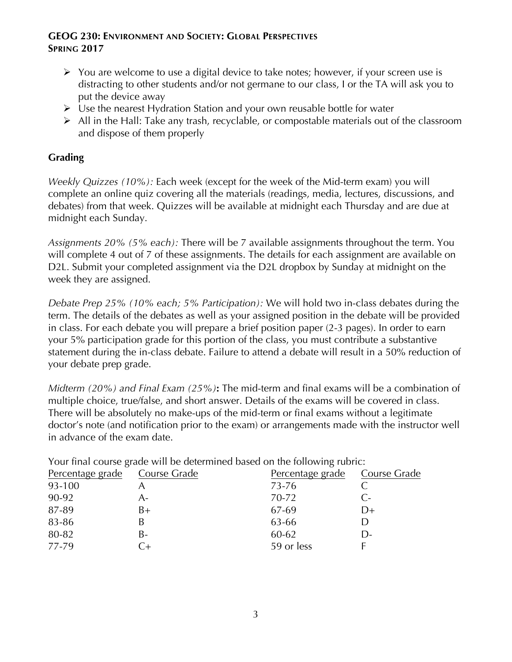- $\triangleright$  You are welcome to use a digital device to take notes; however, if your screen use is distracting to other students and/or not germane to our class, I or the TA will ask you to put the device away
- $\triangleright$  Use the nearest Hydration Station and your own reusable bottle for water
- $\triangleright$  All in the Hall: Take any trash, recyclable, or compostable materials out of the classroom and dispose of them properly

## **Grading**

*Weekly Quizzes (10%):* Each week (except for the week of the Mid-term exam) you will complete an online quiz covering all the materials (readings, media, lectures, discussions, and debates) from that week. Quizzes will be available at midnight each Thursday and are due at midnight each Sunday.

*Assignments 20% (5% each):* There will be 7 available assignments throughout the term. You will complete 4 out of 7 of these assignments. The details for each assignment are available on D2L. Submit your completed assignment via the D2L dropbox by Sunday at midnight on the week they are assigned.

*Debate Prep 25% (10% each; 5% Participation):* We will hold two in-class debates during the term. The details of the debates as well as your assigned position in the debate will be provided in class. For each debate you will prepare a brief position paper (2-3 pages). In order to earn your 5% participation grade for this portion of the class, you must contribute a substantive statement during the in-class debate. Failure to attend a debate will result in a 50% reduction of your debate prep grade.

*Midterm (20%) and Final Exam (25%)***:** The mid-term and final exams will be a combination of multiple choice, true/false, and short answer. Details of the exams will be covered in class. There will be absolutely no make-ups of the mid-term or final exams without a legitimate doctor's note (and notification prior to the exam) or arrangements made with the instructor well in advance of the exam date.

| Tour miar course grade win be accommica based on the ronowing rubrie. |    |                               |              |  |
|-----------------------------------------------------------------------|----|-------------------------------|--------------|--|
| Percentage grade Course Grade                                         |    | Percentage grade Course Grade |              |  |
| 93-100                                                                |    | 73-76                         |              |  |
| 90-92                                                                 | A- | 70-72                         | $C-$         |  |
| 87-89                                                                 | B+ | 67-69                         | D+           |  |
| 83-86                                                                 |    | 63-66                         |              |  |
| 80-82                                                                 | B- | 60-62                         | $\mathsf{D}$ |  |
| 77-79                                                                 |    | 59 or less                    |              |  |
|                                                                       |    |                               |              |  |

Your final course grade will be determined based on the following rubric: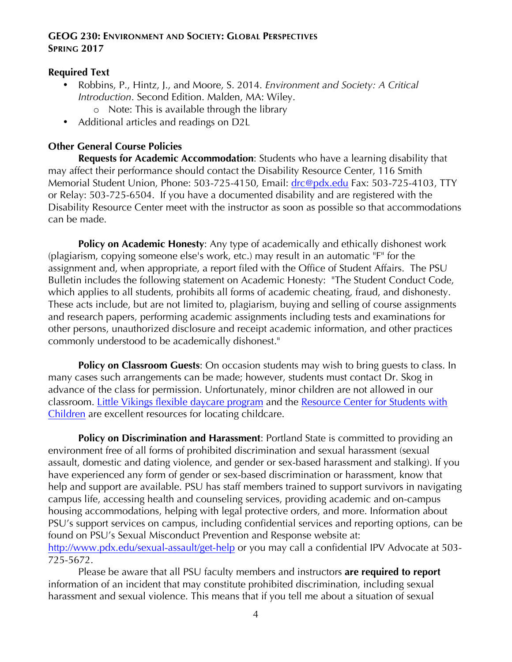#### **Required Text**

- Robbins, P., Hintz, J., and Moore, S. 2014. *Environment and Society: A Critical Introduction*. Second Edition. Malden, MA: Wiley.
	- o Note: This is available through the library
- Additional articles and readings on D2L

## **Other General Course Policies**

**Requests for Academic Accommodation**: Students who have a learning disability that may affect their performance should contact the Disability Resource Center, 116 Smith Memorial Student Union, Phone: 503-725-4150, Email: drc@pdx.edu Fax: 503-725-4103, TTY or Relay: 503-725-6504. If you have a documented disability and are registered with the Disability Resource Center meet with the instructor as soon as possible so that accommodations can be made.

**Policy on Academic Honesty:** Any type of academically and ethically dishonest work (plagiarism, copying someone else's work, etc.) may result in an automatic "F" for the assignment and, when appropriate, a report filed with the Office of Student Affairs. The PSU Bulletin includes the following statement on Academic Honesty: "The Student Conduct Code, which applies to all students, prohibits all forms of academic cheating, fraud, and dishonesty. These acts include, but are not limited to, plagiarism, buying and selling of course assignments and research papers, performing academic assignments including tests and examinations for other persons, unauthorized disclosure and receipt academic information, and other practices commonly understood to be academically dishonest."

**Policy on Classroom Guests:** On occasion students may wish to bring guests to class. In many cases such arrangements can be made; however, students must contact Dr. Skog in advance of the class for permission. Unfortunately, minor children are not allowed in our classroom. Little Vikings flexible daycare program and the Resource Center for Students with Children are excellent resources for locating childcare.

**Policy on Discrimination and Harassment:** Portland State is committed to providing an environment free of all forms of prohibited discrimination and sexual harassment (sexual assault, domestic and dating violence, and gender or sex-based harassment and stalking). If you have experienced any form of gender or sex-based discrimination or harassment, know that help and support are available. PSU has staff members trained to support survivors in navigating campus life, accessing health and counseling services, providing academic and on-campus housing accommodations, helping with legal protective orders, and more. Information about PSU's support services on campus, including confidential services and reporting options, can be found on PSU's Sexual Misconduct Prevention and Response website at: http://www.pdx.edu/sexual-assault/get-help or you may call a confidential IPV Advocate at 503-725-5672.

Please be aware that all PSU faculty members and instructors **are required to report** information of an incident that may constitute prohibited discrimination, including sexual harassment and sexual violence. This means that if you tell me about a situation of sexual